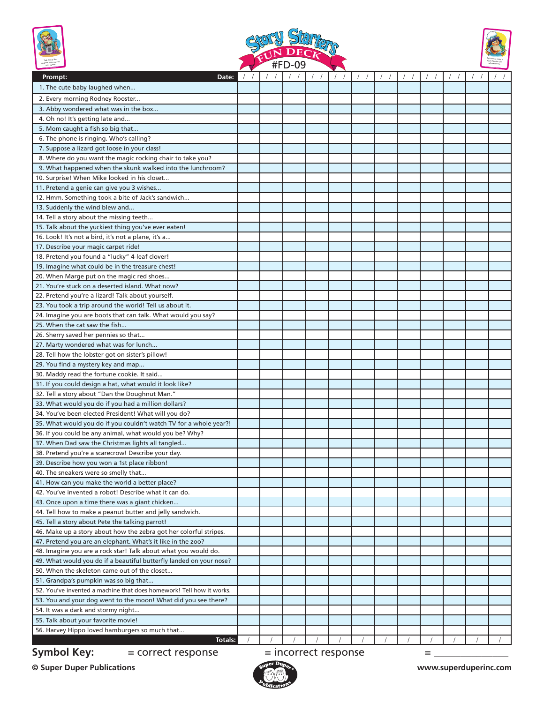





| <u>community of the community of the community of the community of the community of the community of the community of the community of the community of the community of the community of the community of the community of the </u> |  | <b>#Гレ-VJ</b>        |  |  |   |  |  |
|--------------------------------------------------------------------------------------------------------------------------------------------------------------------------------------------------------------------------------------|--|----------------------|--|--|---|--|--|
| Prompt:<br>Date:                                                                                                                                                                                                                     |  |                      |  |  |   |  |  |
| 1. The cute baby laughed when                                                                                                                                                                                                        |  |                      |  |  |   |  |  |
| 2. Every morning Rodney Rooster                                                                                                                                                                                                      |  |                      |  |  |   |  |  |
| 3. Abby wondered what was in the box                                                                                                                                                                                                 |  |                      |  |  |   |  |  |
| 4. Oh no! It's getting late and                                                                                                                                                                                                      |  |                      |  |  |   |  |  |
| 5. Mom caught a fish so big that                                                                                                                                                                                                     |  |                      |  |  |   |  |  |
| 6. The phone is ringing. Who's calling?                                                                                                                                                                                              |  |                      |  |  |   |  |  |
| 7. Suppose a lizard got loose in your class!                                                                                                                                                                                         |  |                      |  |  |   |  |  |
| 8. Where do you want the magic rocking chair to take you?                                                                                                                                                                            |  |                      |  |  |   |  |  |
| 9. What happened when the skunk walked into the lunchroom?                                                                                                                                                                           |  |                      |  |  |   |  |  |
| 10. Surprise! When Mike looked in his closet                                                                                                                                                                                         |  |                      |  |  |   |  |  |
| 11. Pretend a genie can give you 3 wishes                                                                                                                                                                                            |  |                      |  |  |   |  |  |
| 12. Hmm. Something took a bite of Jack's sandwich                                                                                                                                                                                    |  |                      |  |  |   |  |  |
| 13. Suddenly the wind blew and                                                                                                                                                                                                       |  |                      |  |  |   |  |  |
| 14. Tell a story about the missing teeth                                                                                                                                                                                             |  |                      |  |  |   |  |  |
| 15. Talk about the yuckiest thing you've ever eaten!                                                                                                                                                                                 |  |                      |  |  |   |  |  |
| 16. Look! It's not a bird, it's not a plane, it's a                                                                                                                                                                                  |  |                      |  |  |   |  |  |
| 17. Describe your magic carpet ride!                                                                                                                                                                                                 |  |                      |  |  |   |  |  |
| 18. Pretend you found a "lucky" 4-leaf clover!                                                                                                                                                                                       |  |                      |  |  |   |  |  |
| 19. Imagine what could be in the treasure chest!                                                                                                                                                                                     |  |                      |  |  |   |  |  |
| 20. When Marge put on the magic red shoes                                                                                                                                                                                            |  |                      |  |  |   |  |  |
| 21. You're stuck on a deserted island. What now?                                                                                                                                                                                     |  |                      |  |  |   |  |  |
| 22. Pretend you're a lizard! Talk about yourself.                                                                                                                                                                                    |  |                      |  |  |   |  |  |
| 23. You took a trip around the world! Tell us about it.                                                                                                                                                                              |  |                      |  |  |   |  |  |
| 24. Imagine you are boots that can talk. What would you say?                                                                                                                                                                         |  |                      |  |  |   |  |  |
| 25. When the cat saw the fish                                                                                                                                                                                                        |  |                      |  |  |   |  |  |
| 26. Sherry saved her pennies so that                                                                                                                                                                                                 |  |                      |  |  |   |  |  |
| 27. Marty wondered what was for lunch                                                                                                                                                                                                |  |                      |  |  |   |  |  |
| 28. Tell how the lobster got on sister's pillow!                                                                                                                                                                                     |  |                      |  |  |   |  |  |
| 29. You find a mystery key and map                                                                                                                                                                                                   |  |                      |  |  |   |  |  |
| 30. Maddy read the fortune cookie. It said                                                                                                                                                                                           |  |                      |  |  |   |  |  |
| 31. If you could design a hat, what would it look like?                                                                                                                                                                              |  |                      |  |  |   |  |  |
| 32. Tell a story about "Dan the Doughnut Man."                                                                                                                                                                                       |  |                      |  |  |   |  |  |
| 33. What would you do if you had a million dollars?                                                                                                                                                                                  |  |                      |  |  |   |  |  |
| 34. You've been elected President! What will you do?                                                                                                                                                                                 |  |                      |  |  |   |  |  |
| 35. What would you do if you couldn't watch TV for a whole year?!                                                                                                                                                                    |  |                      |  |  |   |  |  |
| 36. If you could be any animal, what would you be? Why?                                                                                                                                                                              |  |                      |  |  |   |  |  |
| 37. When Dad saw the Christmas lights all tangled                                                                                                                                                                                    |  |                      |  |  |   |  |  |
| 38. Pretend you're a scarecrow! Describe your day.                                                                                                                                                                                   |  |                      |  |  |   |  |  |
| 39. Describe how you won a 1st place ribbon!                                                                                                                                                                                         |  |                      |  |  |   |  |  |
| 40. The sneakers were so smelly that                                                                                                                                                                                                 |  |                      |  |  |   |  |  |
| 41. How can you make the world a better place?                                                                                                                                                                                       |  |                      |  |  |   |  |  |
| 42. You've invented a robot! Describe what it can do.                                                                                                                                                                                |  |                      |  |  |   |  |  |
| 43. Once upon a time there was a giant chicken                                                                                                                                                                                       |  |                      |  |  |   |  |  |
| 44. Tell how to make a peanut butter and jelly sandwich.                                                                                                                                                                             |  |                      |  |  |   |  |  |
| 45. Tell a story about Pete the talking parrot!                                                                                                                                                                                      |  |                      |  |  |   |  |  |
| 46. Make up a story about how the zebra got her colorful stripes.                                                                                                                                                                    |  |                      |  |  |   |  |  |
| 47. Pretend you are an elephant. What's it like in the zoo?                                                                                                                                                                          |  |                      |  |  |   |  |  |
| 48. Imagine you are a rock star! Talk about what you would do.                                                                                                                                                                       |  |                      |  |  |   |  |  |
| 49. What would you do if a beautiful butterfly landed on your nose?                                                                                                                                                                  |  |                      |  |  |   |  |  |
| 50. When the skeleton came out of the closet                                                                                                                                                                                         |  |                      |  |  |   |  |  |
| 51. Grandpa's pumpkin was so big that                                                                                                                                                                                                |  |                      |  |  |   |  |  |
| 52. You've invented a machine that does homework! Tell how it works.                                                                                                                                                                 |  |                      |  |  |   |  |  |
| 53. You and your dog went to the moon! What did you see there?                                                                                                                                                                       |  |                      |  |  |   |  |  |
| 54. It was a dark and stormy night                                                                                                                                                                                                   |  |                      |  |  |   |  |  |
| 55. Talk about your favorite movie!                                                                                                                                                                                                  |  |                      |  |  |   |  |  |
| 56. Harvey Hippo loved hamburgers so much that                                                                                                                                                                                       |  |                      |  |  |   |  |  |
| <b>Totals:</b>                                                                                                                                                                                                                       |  |                      |  |  |   |  |  |
| <b>Symbol Key:</b><br>= correct response                                                                                                                                                                                             |  | = incorrect response |  |  | = |  |  |

**© Super Duper Publications www.superduperinc.com**